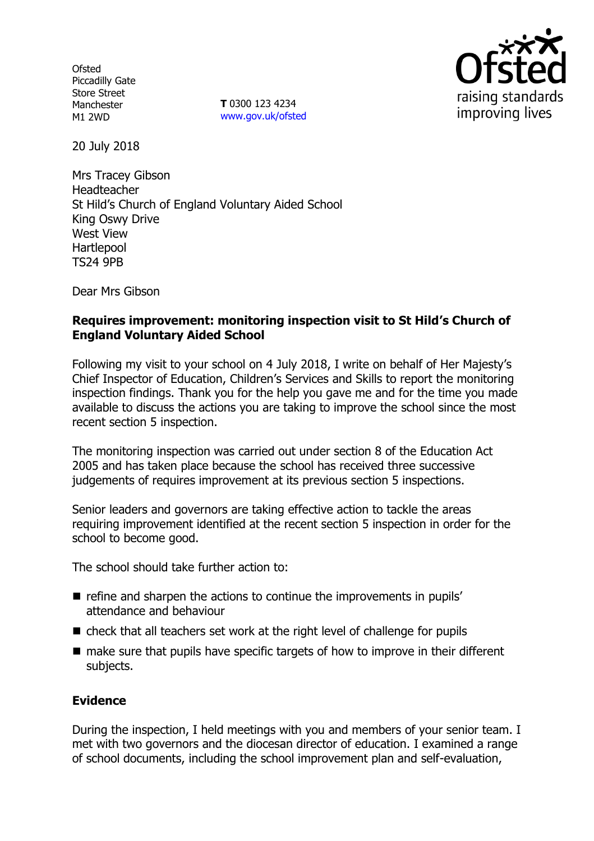**Ofsted** Piccadilly Gate Store Street Manchester M1 2WD

**T** 0300 123 4234 www.gov.uk/ofsted



20 July 2018

Mrs Tracey Gibson Headteacher St Hild's Church of England Voluntary Aided School King Oswy Drive West View Hartlepool TS24 9PB

Dear Mrs Gibson

## **Requires improvement: monitoring inspection visit to St Hild's Church of England Voluntary Aided School**

Following my visit to your school on 4 July 2018, I write on behalf of Her Majesty's Chief Inspector of Education, Children's Services and Skills to report the monitoring inspection findings. Thank you for the help you gave me and for the time you made available to discuss the actions you are taking to improve the school since the most recent section 5 inspection.

The monitoring inspection was carried out under section 8 of the Education Act 2005 and has taken place because the school has received three successive judgements of requires improvement at its previous section 5 inspections.

Senior leaders and governors are taking effective action to tackle the areas requiring improvement identified at the recent section 5 inspection in order for the school to become good.

The school should take further action to:

- $\blacksquare$  refine and sharpen the actions to continue the improvements in pupils' attendance and behaviour
- check that all teachers set work at the right level of challenge for pupils
- $\blacksquare$  make sure that pupils have specific targets of how to improve in their different subjects.

# **Evidence**

During the inspection, I held meetings with you and members of your senior team. I met with two governors and the diocesan director of education. I examined a range of school documents, including the school improvement plan and self-evaluation,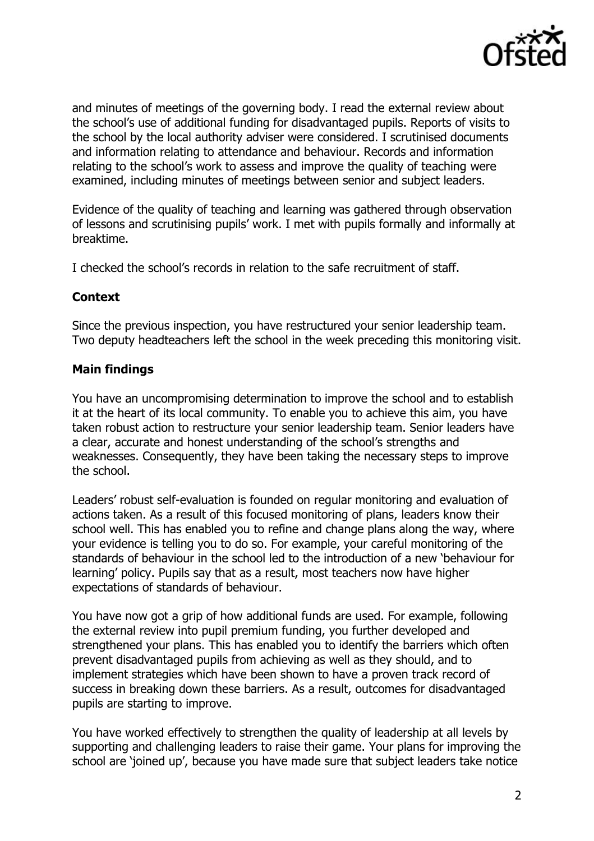

and minutes of meetings of the governing body. I read the external review about the school's use of additional funding for disadvantaged pupils. Reports of visits to the school by the local authority adviser were considered. I scrutinised documents and information relating to attendance and behaviour. Records and information relating to the school's work to assess and improve the quality of teaching were examined, including minutes of meetings between senior and subject leaders.

Evidence of the quality of teaching and learning was gathered through observation of lessons and scrutinising pupils' work. I met with pupils formally and informally at breaktime.

I checked the school's records in relation to the safe recruitment of staff.

## **Context**

Since the previous inspection, you have restructured your senior leadership team. Two deputy headteachers left the school in the week preceding this monitoring visit.

#### **Main findings**

You have an uncompromising determination to improve the school and to establish it at the heart of its local community. To enable you to achieve this aim, you have taken robust action to restructure your senior leadership team. Senior leaders have a clear, accurate and honest understanding of the school's strengths and weaknesses. Consequently, they have been taking the necessary steps to improve the school.

Leaders' robust self-evaluation is founded on regular monitoring and evaluation of actions taken. As a result of this focused monitoring of plans, leaders know their school well. This has enabled you to refine and change plans along the way, where your evidence is telling you to do so. For example, your careful monitoring of the standards of behaviour in the school led to the introduction of a new 'behaviour for learning' policy. Pupils say that as a result, most teachers now have higher expectations of standards of behaviour.

You have now got a grip of how additional funds are used. For example, following the external review into pupil premium funding, you further developed and strengthened your plans. This has enabled you to identify the barriers which often prevent disadvantaged pupils from achieving as well as they should, and to implement strategies which have been shown to have a proven track record of success in breaking down these barriers. As a result, outcomes for disadvantaged pupils are starting to improve.

You have worked effectively to strengthen the quality of leadership at all levels by supporting and challenging leaders to raise their game. Your plans for improving the school are 'joined up', because you have made sure that subject leaders take notice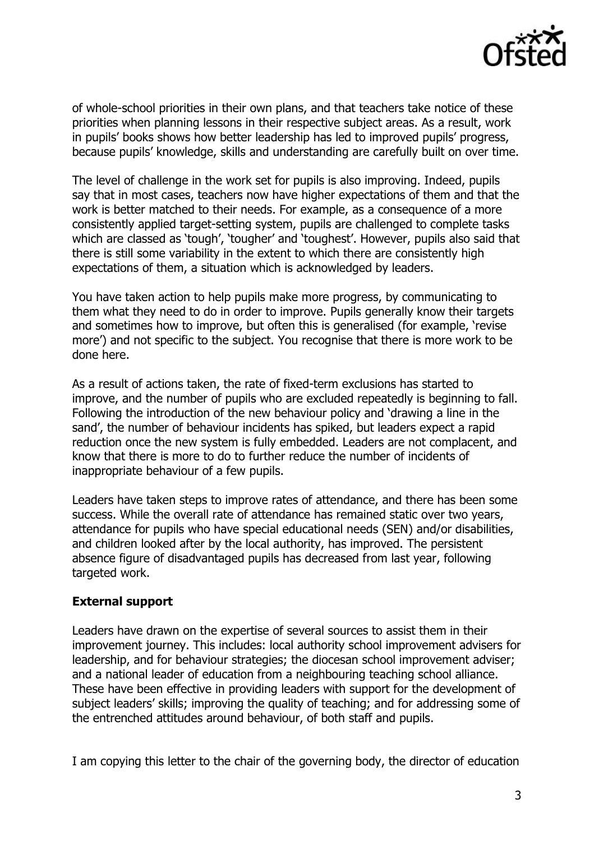

of whole-school priorities in their own plans, and that teachers take notice of these priorities when planning lessons in their respective subject areas. As a result, work in pupils' books shows how better leadership has led to improved pupils' progress, because pupils' knowledge, skills and understanding are carefully built on over time.

The level of challenge in the work set for pupils is also improving. Indeed, pupils say that in most cases, teachers now have higher expectations of them and that the work is better matched to their needs. For example, as a consequence of a more consistently applied target-setting system, pupils are challenged to complete tasks which are classed as 'tough', 'tougher' and 'toughest'. However, pupils also said that there is still some variability in the extent to which there are consistently high expectations of them, a situation which is acknowledged by leaders.

You have taken action to help pupils make more progress, by communicating to them what they need to do in order to improve. Pupils generally know their targets and sometimes how to improve, but often this is generalised (for example, 'revise more') and not specific to the subject. You recognise that there is more work to be done here.

As a result of actions taken, the rate of fixed-term exclusions has started to improve, and the number of pupils who are excluded repeatedly is beginning to fall. Following the introduction of the new behaviour policy and 'drawing a line in the sand', the number of behaviour incidents has spiked, but leaders expect a rapid reduction once the new system is fully embedded. Leaders are not complacent, and know that there is more to do to further reduce the number of incidents of inappropriate behaviour of a few pupils.

Leaders have taken steps to improve rates of attendance, and there has been some success. While the overall rate of attendance has remained static over two years, attendance for pupils who have special educational needs (SEN) and/or disabilities, and children looked after by the local authority, has improved. The persistent absence figure of disadvantaged pupils has decreased from last year, following targeted work.

#### **External support**

Leaders have drawn on the expertise of several sources to assist them in their improvement journey. This includes: local authority school improvement advisers for leadership, and for behaviour strategies; the diocesan school improvement adviser; and a national leader of education from a neighbouring teaching school alliance. These have been effective in providing leaders with support for the development of subject leaders' skills; improving the quality of teaching; and for addressing some of the entrenched attitudes around behaviour, of both staff and pupils.

I am copying this letter to the chair of the governing body, the director of education